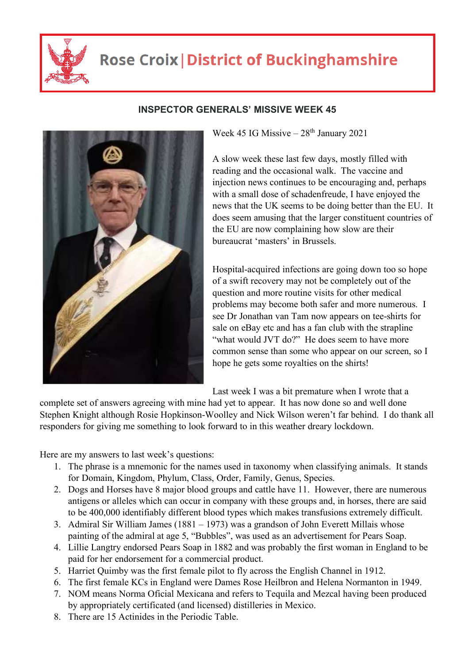

## **Rose Croix | District of Buckinghamshire**



## **INSPECTOR GENERALS' MISSIVE WEEK 45**

Week 45 IG Missive  $-28$ <sup>th</sup> January 2021

A slow week these last few days, mostly filled with reading and the occasional walk. The vaccine and injection news continues to be encouraging and, perhaps with a small dose of schadenfreude, I have enjoyed the news that the UK seems to be doing better than the EU. It does seem amusing that the larger constituent countries of the EU are now complaining how slow are their bureaucrat 'masters' in Brussels.

Hospital-acquired infections are going down too so hope of a swift recovery may not be completely out of the question and more routine visits for other medical problems may become both safer and more numerous. I see Dr Jonathan van Tam now appears on tee-shirts for sale on eBay etc and has a fan club with the strapline "what would JVT do?" He does seem to have more common sense than some who appear on our screen, so I hope he gets some royalties on the shirts!

Last week I was a bit premature when I wrote that a

complete set of answers agreeing with mine had yet to appear. It has now done so and well done Stephen Knight although Rosie Hopkinson-Woolley and Nick Wilson weren't far behind. I do thank all responders for giving me something to look forward to in this weather dreary lockdown.

Here are my answers to last week's questions:

- 1. The phrase is a mnemonic for the names used in taxonomy when classifying animals. It stands for Domain, Kingdom, Phylum, Class, Order, Family, Genus, Species.
- 2. Dogs and Horses have 8 major blood groups and cattle have 11. However, there are numerous antigens or alleles which can occur in company with these groups and, in horses, there are said to be 400,000 identifiably different blood types which makes transfusions extremely difficult.
- 3. Admiral Sir William James (1881 1973) was a grandson of John Everett Millais whose painting of the admiral at age 5, "Bubbles", was used as an advertisement for Pears Soap.
- 4. Lillie Langtry endorsed Pears Soap in 1882 and was probably the first woman in England to be paid for her endorsement for a commercial product.
- 5. Harriet Quimby was the first female pilot to fly across the English Channel in 1912.
- 6. The first female KCs in England were Dames Rose Heilbron and Helena Normanton in 1949.
- 7. NOM means Norma Oficial Mexicana and refers to Tequila and Mezcal having been produced by appropriately certificated (and licensed) distilleries in Mexico.
- 8. There are 15 Actinides in the Periodic Table.